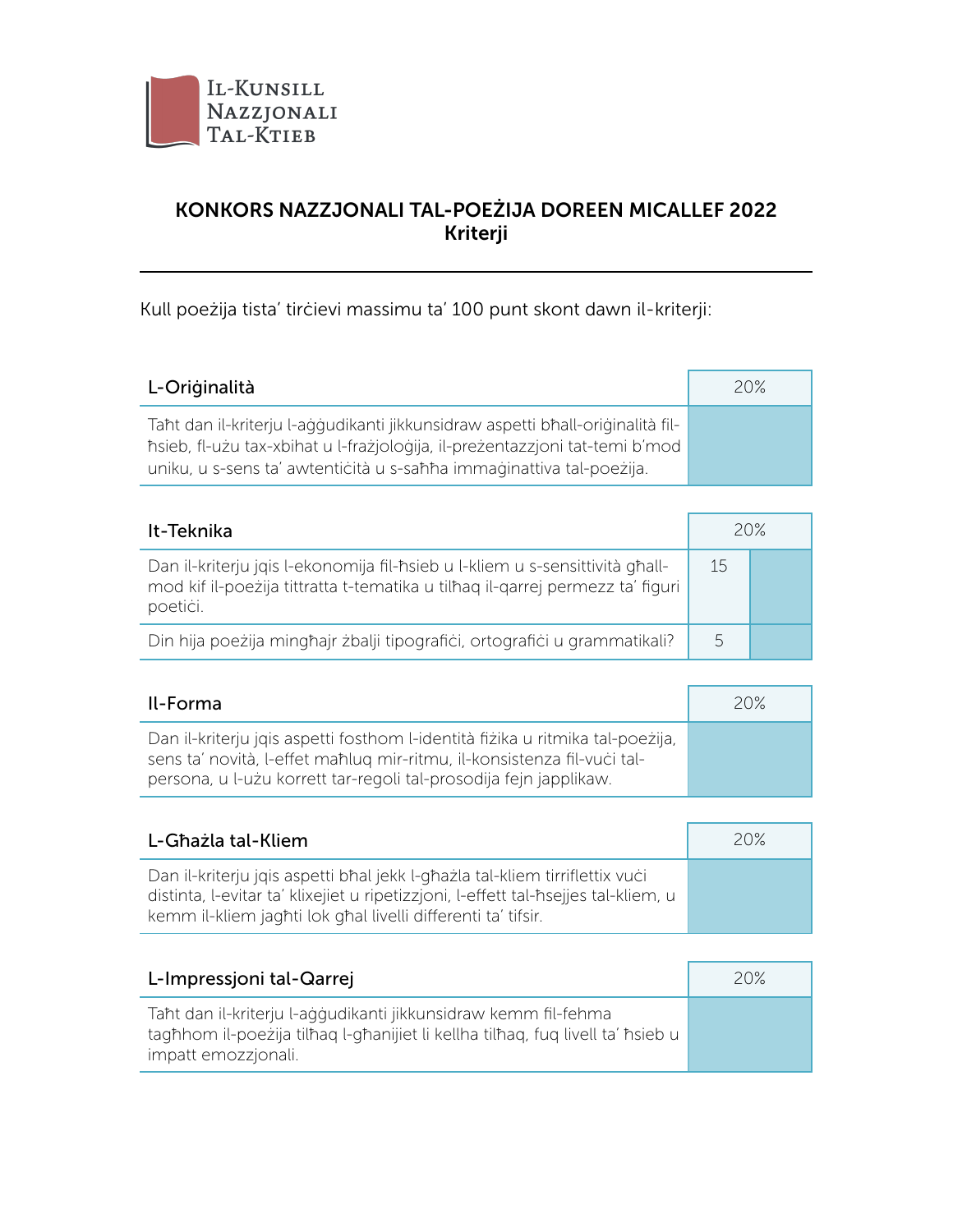

## KONKORS NAZZJONALI TAL-POEŻIJA DOREEN MICALLEF 2022 Kriterji

Kull poeżija tista' tirċievi massimu ta' 100 punt skont dawn il-kriterji:

| L-Originalità                                                                                                                                                                                                                         | 20% |
|---------------------------------------------------------------------------------------------------------------------------------------------------------------------------------------------------------------------------------------|-----|
| Taht dan il-kriterju l-ağğudikanti jikkunsidraw aspetti bhall-oriğinalità fil-<br>hsieb, fl-użu tax-xbihat u l-frażjologija, il-preżentazzjoni tat-temi b'mod<br>uniku, u s-sens ta' awtenticità u s-sahha immaginattiva tal-poezija. |     |

| It-Teknika                                                                                                                                                                | 20% |  |
|---------------------------------------------------------------------------------------------------------------------------------------------------------------------------|-----|--|
| Dan il-kriterju jgis l-ekonomija fil-hsieb u l-kliem u s-sensittività ghall-<br>mod kif il-poeżija tittratta t-tematika u tilhag il-garrej permezz ta' figuri<br>poetici. | 15  |  |
| Din hija poežija minghajr zbalji tipografići, ortografići u grammatikali?                                                                                                 | 5   |  |

| Il-Forma                                                                                                                                                                                                                      | 20% |
|-------------------------------------------------------------------------------------------------------------------------------------------------------------------------------------------------------------------------------|-----|
| Dan il-kriterju jojs aspetti fosthom l-identità fizika u ritmika tal-poezija,<br>sens ta' novità, l-effet mahluq mir-ritmu, il-konsistenza fil-vuci tal-<br>persona, u l-użu korrett tar-regoli tal-prosodija fejn japplikaw. |     |

| L-Ghażla tal-Kliem                                                                                                                                                                                                                | 20% |
|-----------------------------------------------------------------------------------------------------------------------------------------------------------------------------------------------------------------------------------|-----|
| Dan il-kriterju jqis aspetti bhal jekk l-ghazla tal-kliem tirriflettix vući<br>distinta, l-evitar ta' klixejiet u ripetizzjoni, l-effett tal-hsejjes tal-kliem, u<br>kemm il-kliem jaghti lok ghal livelli differenti ta' tifsir. |     |

| L-Impressjoni tal-Qarrej                                                                                                                                                | 20% |
|-------------------------------------------------------------------------------------------------------------------------------------------------------------------------|-----|
| Taht dan il-kriterju l-ağğudikanti jikkunsidraw kemm fil-fehma<br>taghhom il-poezija tilhag l-ghanijiet li kellha tilhag, fug livell ta' hsieb u<br>impatt emozzjonali. |     |